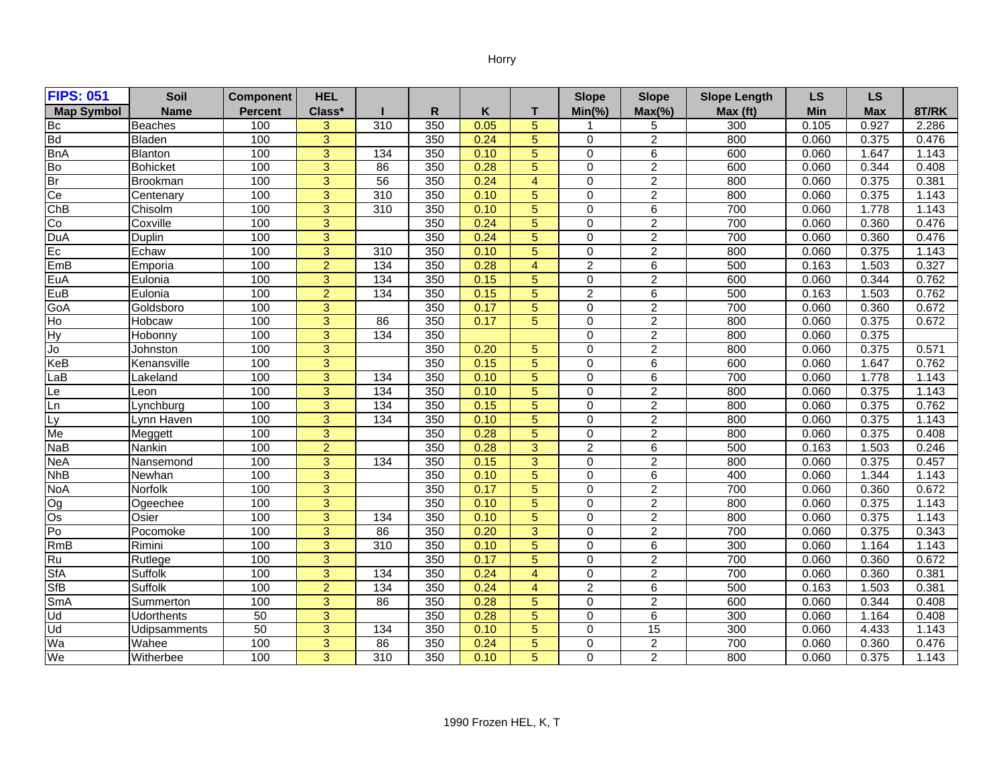## Horry

| <b>FIPS: 051</b>        | Soil              | <b>Component</b> | <b>HEL</b>     |                 |     |      |                | <b>Slope</b>   | <b>Slope</b>     | <b>Slope Length</b> | <b>LS</b> | <b>LS</b>  |       |
|-------------------------|-------------------|------------------|----------------|-----------------|-----|------|----------------|----------------|------------------|---------------------|-----------|------------|-------|
| <b>Map Symbol</b>       | <b>Name</b>       | <b>Percent</b>   | Class*         |                 | R   | Κ    | т              | $Min(\% )$     | $Max(\% )$       | Max (ft)            | Min       | <b>Max</b> | 8T/RK |
| <b>Bc</b>               | <b>Beaches</b>    | 100              | 3              | 310             | 350 | 0.05 | 5              |                | 5                | 300                 | 0.105     | 0.927      | 2.286 |
| <b>Bd</b>               | <b>Bladen</b>     | 100              | $\overline{3}$ |                 | 350 | 0.24 | $\overline{5}$ | 0              | $\overline{2}$   | 800                 | 0.060     | 0.375      | 0.476 |
| <b>BnA</b>              | <b>Blanton</b>    | 100              | $\overline{3}$ | 134             | 350 | 0.10 | $\overline{5}$ | $\mathbf 0$    | 6                | 600                 | 0.060     | 1.647      | 1.143 |
| Bo                      | <b>Bohicket</b>   | 100              | $\overline{3}$ | 86              | 350 | 0.28 | $\overline{5}$ | $\overline{0}$ | $\overline{2}$   | 600                 | 0.060     | 0.344      | 0.408 |
| Br                      | Brookman          | 100              | $\overline{3}$ | $\overline{56}$ | 350 | 0.24 | $\overline{4}$ | $\mathbf 0$    | $\overline{2}$   | 800                 | 0.060     | 0.375      | 0.381 |
| Ce                      | Centenary         | 100              | $\overline{3}$ | 310             | 350 | 0.10 | 5              | $\mathbf 0$    | $\overline{2}$   | 800                 | 0.060     | 0.375      | 1.143 |
| ChB                     | Chisolm           | 100              | $\overline{3}$ | 310             | 350 | 0.10 | $\overline{5}$ | $\mathbf 0$    | 6                | 700                 | 0.060     | 1.778      | 1.143 |
| Co                      | Coxville          | 100              | $\overline{3}$ |                 | 350 | 0.24 | $\overline{5}$ | $\mathbf 0$    | $\overline{2}$   | 700                 | 0.060     | 0.360      | 0.476 |
| <b>DuA</b>              | <b>Duplin</b>     | 100              | $\overline{3}$ |                 | 350 | 0.24 | $\overline{5}$ | $\mathbf 0$    | $\overline{2}$   | 700                 | 0.060     | 0.360      | 0.476 |
| $E_{\rm C}$             | Echaw             | 100              | $\overline{3}$ | 310             | 350 | 0.10 | $\overline{5}$ | $\mathbf 0$    | $\overline{2}$   | 800                 | 0.060     | 0.375      | 1.143 |
| EmB                     | Emporia           | 100              | $\overline{2}$ | 134             | 350 | 0.28 | $\overline{4}$ | $\overline{2}$ | 6                | 500                 | 0.163     | 1.503      | 0.327 |
| EuA                     | Eulonia           | 100              | 3              | 134             | 350 | 0.15 | $\overline{5}$ | $\mathbf 0$    | $\overline{c}$   | 600                 | 0.060     | 0.344      | 0.762 |
| EuB                     | Eulonia           | 100              | $\overline{2}$ | 134             | 350 | 0.15 | $\overline{5}$ | $\overline{2}$ | 6                | 500                 | 0.163     | 1.503      | 0.762 |
| GoA                     | Goldsboro         | 100              | $\overline{3}$ |                 | 350 | 0.17 | $\overline{5}$ | $\mathbf 0$    | $\overline{2}$   | 700                 | 0.060     | 0.360      | 0.672 |
| $\overline{\mathsf{H}}$ | Hobcaw            | 100              | $\overline{3}$ | 86              | 350 | 0.17 | $\overline{5}$ | $\mathbf 0$    | $\overline{2}$   | 800                 | 0.060     | 0.375      | 0.672 |
| Hy                      | Hobonny           | 100              | 3              | 134             | 350 |      |                | $\Omega$       | $\boldsymbol{2}$ | 800                 | 0.060     | 0.375      |       |
| Jo                      | Johnston          | 100              | $\overline{3}$ |                 | 350 | 0.20 | 5              | $\mathbf 0$    | $\overline{2}$   | 800                 | 0.060     | 0.375      | 0.571 |
| KeB                     | Kenansville       | 100              | $\overline{3}$ |                 | 350 | 0.15 | $\overline{5}$ | $\mathbf 0$    | 6                | 600                 | 0.060     | 1.647      | 0.762 |
| LaB                     | Lakeland          | 100              | $\overline{3}$ | 134             | 350 | 0.10 | 5              | $\Omega$       | 6                | 700                 | 0.060     | 1.778      | 1.143 |
| Le                      | Leon              | 100              | $\overline{3}$ | 134             | 350 | 0.10 | $\overline{5}$ | $\mathbf 0$    | $\overline{2}$   | 800                 | 0.060     | 0.375      | 1.143 |
| Ln                      | _vnchbura         | 100              | 3              | 134             | 350 | 0.15 | $\overline{5}$ | $\Omega$       | $\boldsymbol{2}$ | 800                 | 0.060     | 0.375      | 0.762 |
| Ly                      | Lynn Haven        | 100              | $\overline{3}$ | 134             | 350 | 0.10 | $\overline{5}$ | $\mathbf 0$    | $\overline{2}$   | 800                 | 0.060     | 0.375      | 1.143 |
| Me                      | Meggett           | 100              | $\overline{3}$ |                 | 350 | 0.28 | $\overline{5}$ | $\overline{0}$ | $\overline{2}$   | 800                 | 0.060     | 0.375      | 0.408 |
| <b>NaB</b>              | Nankin            | 100              | $\overline{2}$ |                 | 350 | 0.28 | 3              | $\overline{2}$ | 6                | 500                 | 0.163     | 1.503      | 0.246 |
| <b>NeA</b>              | Nansemond         | 100              | 3              | 134             | 350 | 0.15 | $\overline{3}$ | $\mathbf 0$    | $\overline{c}$   | 800                 | 0.060     | 0.375      | 0.457 |
| <b>NhB</b>              | Newhan            | 100              | 3              |                 | 350 | 0.10 | 5              | $\Omega$       | 6                | 400                 | 0.060     | 1.344      | 1.143 |
| <b>NoA</b>              | <b>Norfolk</b>    | 100              | $\overline{3}$ |                 | 350 | 0.17 | $\overline{5}$ | $\Omega$       | $\overline{2}$   | 700                 | 0.060     | 0.360      | 0.672 |
| Og                      | Ogeechee          | 100              | $\overline{3}$ |                 | 350 | 0.10 | $\overline{5}$ | $\overline{0}$ | $\overline{2}$   | 800                 | 0.060     | 0.375      | 1.143 |
| Os                      | Osier             | 100              | $\overline{3}$ | 134             | 350 | 0.10 | 5              | $\Omega$       | $\overline{2}$   | 800                 | 0.060     | 0.375      | 1.143 |
| P <sub>0</sub>          | Pocomoke          | 100              | $\overline{3}$ | 86              | 350 | 0.20 | $\overline{3}$ | $\mathbf 0$    | $\overline{2}$   | 700                 | 0.060     | 0.375      | 0.343 |
| <b>RmB</b>              | Rimini            | 100              | 3              | 310             | 350 | 0.10 | $\overline{5}$ | $\Omega$       | 6                | 300                 | 0.060     | 1.164      | 1.143 |
| Ru                      | Rutlege           | 100              | $\overline{3}$ |                 | 350 | 0.17 | $\overline{5}$ | $\mathbf 0$    | $\overline{c}$   | 700                 | 0.060     | 0.360      | 0.672 |
| <b>SfA</b>              | Suffolk           | 100              | $\overline{3}$ | 134             | 350 | 0.24 | $\overline{4}$ | $\overline{0}$ | $\overline{2}$   | 700                 | 0.060     | 0.360      | 0.381 |
| <b>SfB</b>              | Suffolk           | 100              | $\overline{2}$ | 134             | 350 | 0.24 | $\overline{4}$ | $\overline{2}$ | 6                | 500                 | 0.163     | 1.503      | 0.381 |
| SmA                     | Summerton         | 100              | $\overline{3}$ | 86              | 350 | 0.28 | $\overline{5}$ | $\mathbf 0$    | $\overline{2}$   | 600                 | 0.060     | 0.344      | 0.408 |
| P                       | <b>Udorthents</b> | 50               | 3              |                 | 350 | 0.28 | 5              | $\Omega$       | 6                | 300                 | 0.060     | 1.164      | 0.408 |
| Ud                      | Udipsamments      | 50               | $\overline{3}$ | 134             | 350 | 0.10 | $\overline{5}$ | $\mathbf 0$    | 15               | 300                 | 0.060     | 4.433      | 1.143 |
| Wa                      | Wahee             | 100              | $\overline{3}$ | 86              | 350 | 0.24 | $\overline{5}$ | $\overline{0}$ | $\overline{2}$   | 700                 | 0.060     | 0.360      | 0.476 |
| We                      | Witherbee         | 100              | 3              | 310             | 350 | 0.10 | 5              | $\mathbf 0$    | $\overline{2}$   | 800                 | 0.060     | 0.375      | 1.143 |